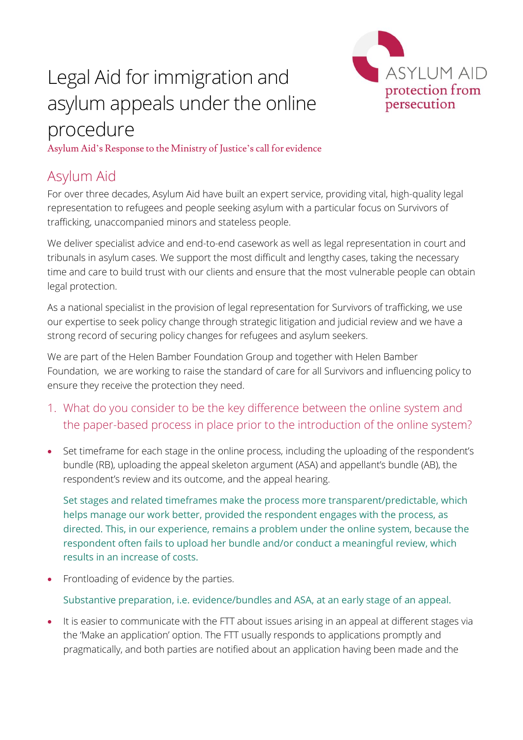# Legal Aid for immigration and asylum appeals under the online procedure



Asylum Aid's Response to the Ministry of Justice's call for evidence

# Asylum Aid

For over three decades, Asylum Aid have built an expert service, providing vital, high-quality legal representation to refugees and people seeking asylum with a particular focus on Survivors of trafficking, unaccompanied minors and stateless people.

We deliver specialist advice and end-to-end casework as well as legal representation in court and tribunals in asylum cases. We support the most difficult and lengthy cases, taking the necessary time and care to build trust with our clients and ensure that the most vulnerable people can obtain legal protection.

As a national specialist in the provision of legal representation for Survivors of trafficking, we use our expertise to seek policy change through strategic litigation and judicial review and we have a strong record of securing policy changes for refugees and asylum seekers.

We are part of the Helen Bamber Foundation Group and together with Helen Bamber Foundation, we are working to raise the standard of care for all Survivors and influencing policy to ensure they receive the protection they need.

- 1. What do you consider to be the key difference between the online system and the paper-based process in place prior to the introduction of the online system?
- Set timeframe for each stage in the online process, including the uploading of the respondent's bundle (RB), uploading the appeal skeleton argument (ASA) and appellant's bundle (AB), the respondent's review and its outcome, and the appeal hearing.

Set stages and related timeframes make the process more transparent/predictable, which helps manage our work better, provided the respondent engages with the process, as directed. This, in our experience, remains a problem under the online system, because the respondent often fails to upload her bundle and/or conduct a meaningful review, which results in an increase of costs.

• Frontloading of evidence by the parties.

Substantive preparation, i.e. evidence/bundles and ASA, at an early stage of an appeal.

It is easier to communicate with the FTT about issues arising in an appeal at different stages via the 'Make an application' option. The FTT usually responds to applications promptly and pragmatically, and both parties are notified about an application having been made and the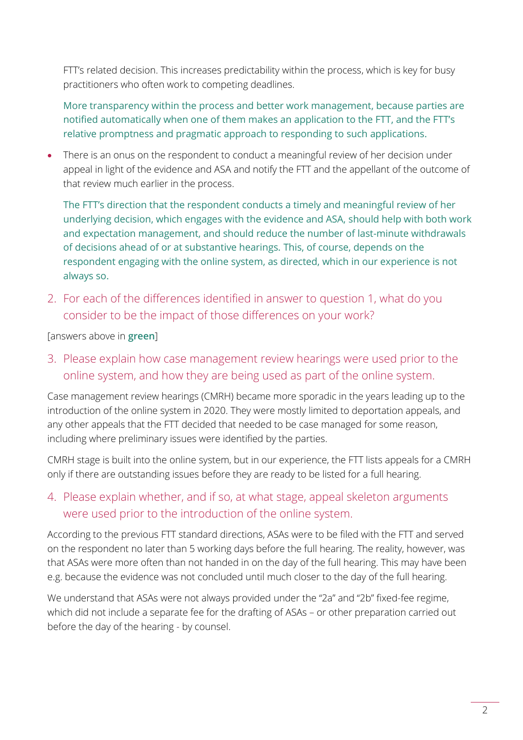FTT's related decision. This increases predictability within the process, which is key for busy practitioners who often work to competing deadlines.

More transparency within the process and better work management, because parties are notified automatically when one of them makes an application to the FTT, and the FTT's relative promptness and pragmatic approach to responding to such applications.

There is an onus on the respondent to conduct a meaningful review of her decision under appeal in light of the evidence and ASA and notify the FTT and the appellant of the outcome of that review much earlier in the process.

The FTT's direction that the respondent conducts a timely and meaningful review of her underlying decision, which engages with the evidence and ASA, should help with both work and expectation management, and should reduce the number of last-minute withdrawals of decisions ahead of or at substantive hearings. This, of course, depends on the respondent engaging with the online system, as directed, which in our experience is not always so.

2. For each of the differences identified in answer to question 1, what do you consider to be the impact of those differences on your work?

[answers above in **green**]

3. Please explain how case management review hearings were used prior to the online system, and how they are being used as part of the online system.

Case management review hearings (CMRH) became more sporadic in the years leading up to the introduction of the online system in 2020. They were mostly limited to deportation appeals, and any other appeals that the FTT decided that needed to be case managed for some reason, including where preliminary issues were identified by the parties.

CMRH stage is built into the online system, but in our experience, the FTT lists appeals for a CMRH only if there are outstanding issues before they are ready to be listed for a full hearing.

#### 4. Please explain whether, and if so, at what stage, appeal skeleton arguments were used prior to the introduction of the online system.

According to the previous FTT standard directions, ASAs were to be filed with the FTT and served on the respondent no later than 5 working days before the full hearing. The reality, however, was that ASAs were more often than not handed in on the day of the full hearing. This may have been e.g. because the evidence was not concluded until much closer to the day of the full hearing.

We understand that ASAs were not always provided under the "2a" and "2b" fixed-fee regime, which did not include a separate fee for the drafting of ASAs – or other preparation carried out before the day of the hearing - by counsel.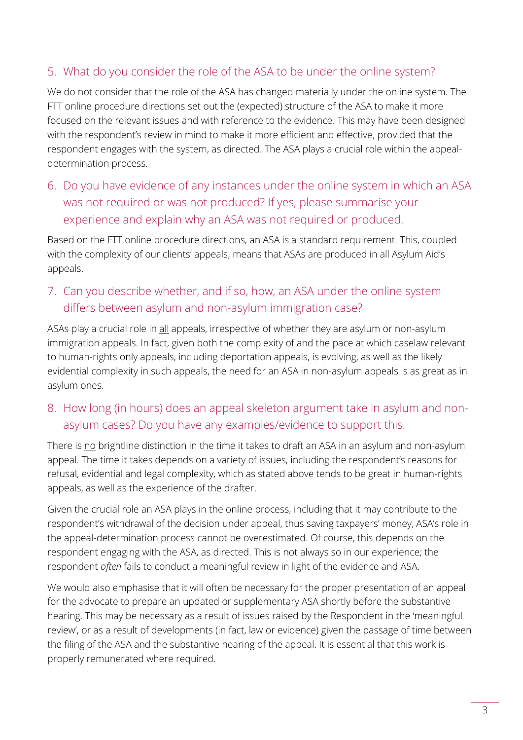#### 5. What do you consider the role of the ASA to be under the online system?

We do not consider that the role of the ASA has changed materially under the online system. The FTT online procedure directions set out the (expected) structure of the ASA to make it more focused on the relevant issues and with reference to the evidence. This may have been designed with the respondent's review in mind to make it more efficient and effective, provided that the respondent engages with the system, as directed. The ASA plays a crucial role within the appealdetermination process.

6. Do you have evidence of any instances under the online system in which an ASA was not required or was not produced? If yes, please summarise your experience and explain why an ASA was not required or produced.

Based on the FTT online procedure directions, an ASA is a standard requirement. This, coupled with the complexity of our clients' appeals, means that ASAs are produced in all Asylum Aid's appeals.

7. Can you describe whether, and if so, how, an ASA under the online system differs between asylum and non-asylum immigration case?

ASAs play a crucial role in all appeals, irrespective of whether they are asylum or non-asylum immigration appeals. In fact, given both the complexity of and the pace at which caselaw relevant to human-rights only appeals, including deportation appeals, is evolving, as well as the likely evidential complexity in such appeals, the need for an ASA in non-asylum appeals is as great as in asylum ones.

8. How long (in hours) does an appeal skeleton argument take in asylum and nonasylum cases? Do you have any examples/evidence to support this.

There is no brightline distinction in the time it takes to draft an ASA in an asylum and non-asylum appeal. The time it takes depends on a variety of issues, including the respondent's reasons for refusal, evidential and legal complexity, which as stated above tends to be great in human-rights appeals, as well as the experience of the drafter.

Given the crucial role an ASA plays in the online process, including that it may contribute to the respondent's withdrawal of the decision under appeal, thus saving taxpayers' money, ASA's role in the appeal-determination process cannot be overestimated. Of course, this depends on the respondent engaging with the ASA, as directed. This is not always so in our experience; the respondent *often* fails to conduct a meaningful review in light of the evidence and ASA.

We would also emphasise that it will often be necessary for the proper presentation of an appeal for the advocate to prepare an updated or supplementary ASA shortly before the substantive hearing. This may be necessary as a result of issues raised by the Respondent in the 'meaningful review', or as a result of developments (in fact, law or evidence) given the passage of time between the filing of the ASA and the substantive hearing of the appeal. It is essential that this work is properly remunerated where required.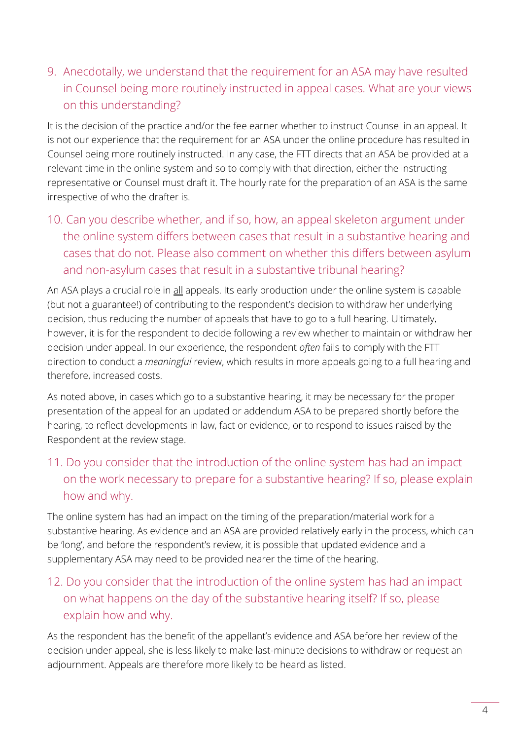9. Anecdotally, we understand that the requirement for an ASA may have resulted in Counsel being more routinely instructed in appeal cases. What are your views on this understanding?

It is the decision of the practice and/or the fee earner whether to instruct Counsel in an appeal. It is not our experience that the requirement for an ASA under the online procedure has resulted in Counsel being more routinely instructed. In any case, the FTT directs that an ASA be provided at a relevant time in the online system and so to comply with that direction, either the instructing representative or Counsel must draft it. The hourly rate for the preparation of an ASA is the same irrespective of who the drafter is.

10. Can you describe whether, and if so, how, an appeal skeleton argument under the online system differs between cases that result in a substantive hearing and cases that do not. Please also comment on whether this differs between asylum and non-asylum cases that result in a substantive tribunal hearing?

An ASA plays a crucial role in all appeals. Its early production under the online system is capable (but not a guarantee!) of contributing to the respondent's decision to withdraw her underlying decision, thus reducing the number of appeals that have to go to a full hearing. Ultimately, however, it is for the respondent to decide following a review whether to maintain or withdraw her decision under appeal. In our experience, the respondent *often* fails to comply with the FTT direction to conduct a *meaningful* review, which results in more appeals going to a full hearing and therefore, increased costs.

As noted above, in cases which go to a substantive hearing, it may be necessary for the proper presentation of the appeal for an updated or addendum ASA to be prepared shortly before the hearing, to reflect developments in law, fact or evidence, or to respond to issues raised by the Respondent at the review stage.

## 11. Do you consider that the introduction of the online system has had an impact on the work necessary to prepare for a substantive hearing? If so, please explain how and why.

The online system has had an impact on the timing of the preparation/material work for a substantive hearing. As evidence and an ASA are provided relatively early in the process, which can be 'long', and before the respondent's review, it is possible that updated evidence and a supplementary ASA may need to be provided nearer the time of the hearing.

## 12. Do you consider that the introduction of the online system has had an impact on what happens on the day of the substantive hearing itself? If so, please explain how and why.

As the respondent has the benefit of the appellant's evidence and ASA before her review of the decision under appeal, she is less likely to make last-minute decisions to withdraw or request an adjournment. Appeals are therefore more likely to be heard as listed.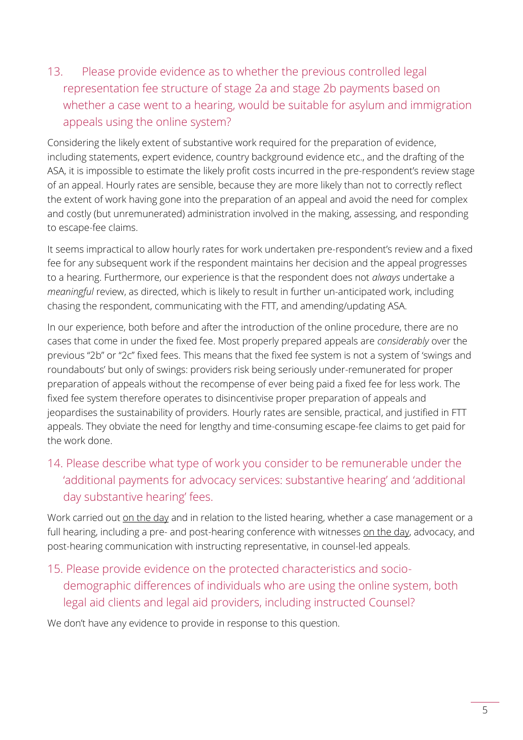13. Please provide evidence as to whether the previous controlled legal representation fee structure of stage 2a and stage 2b payments based on whether a case went to a hearing, would be suitable for asylum and immigration appeals using the online system?

Considering the likely extent of substantive work required for the preparation of evidence, including statements, expert evidence, country background evidence etc., and the drafting of the ASA, it is impossible to estimate the likely profit costs incurred in the pre-respondent's review stage of an appeal. Hourly rates are sensible, because they are more likely than not to correctly reflect the extent of work having gone into the preparation of an appeal and avoid the need for complex and costly (but unremunerated) administration involved in the making, assessing, and responding to escape-fee claims.

It seems impractical to allow hourly rates for work undertaken pre-respondent's review and a fixed fee for any subsequent work if the respondent maintains her decision and the appeal progresses to a hearing. Furthermore, our experience is that the respondent does not *always* undertake a *meaningful* review, as directed, which is likely to result in further un-anticipated work, including chasing the respondent, communicating with the FTT, and amending/updating ASA.

In our experience, both before and after the introduction of the online procedure, there are no cases that come in under the fixed fee. Most properly prepared appeals are *considerably* over the previous "2b" or "2c" fixed fees. This means that the fixed fee system is not a system of 'swings and roundabouts' but only of swings: providers risk being seriously under-remunerated for proper preparation of appeals without the recompense of ever being paid a fixed fee for less work. The fixed fee system therefore operates to disincentivise proper preparation of appeals and jeopardises the sustainability of providers. Hourly rates are sensible, practical, and justified in FTT appeals. They obviate the need for lengthy and time-consuming escape-fee claims to get paid for the work done.

## 14. Please describe what type of work you consider to be remunerable under the 'additional payments for advocacy services: substantive hearing' and 'additional day substantive hearing' fees.

Work carried out on the day and in relation to the listed hearing, whether a case management or a full hearing, including a pre- and post-hearing conference with witnesses on the day, advocacy, and post-hearing communication with instructing representative, in counsel-led appeals.

15. Please provide evidence on the protected characteristics and sociodemographic differences of individuals who are using the online system, both legal aid clients and legal aid providers, including instructed Counsel?

We don't have any evidence to provide in response to this question.